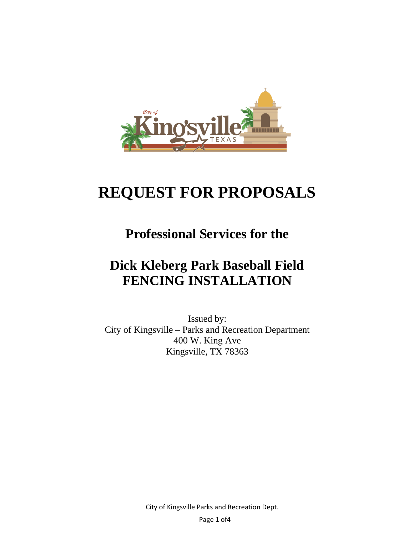

# **REQUEST FOR PROPOSALS**

## **Professional Services for the**

## **Dick Kleberg Park Baseball Field FENCING INSTALLATION**

Issued by: City of Kingsville – Parks and Recreation Department 400 W. King Ave Kingsville, TX 78363

City of Kingsville Parks and Recreation Dept.

Page 1 of4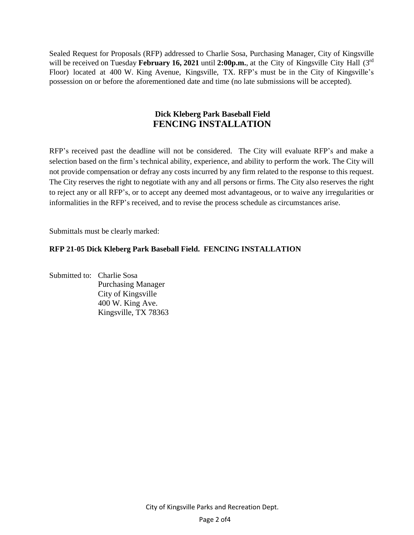Sealed Request for Proposals (RFP) addressed to Charlie Sosa, Purchasing Manager, City of Kingsville will be received on Tuesday February 16, 2021 until 2:00p.m., at the City of Kingsville City Hall (3<sup>rd</sup> Floor) located at 400 W. King Avenue, Kingsville, TX. RFP's must be in the City of Kingsville's possession on or before the aforementioned date and time (no late submissions will be accepted).

#### **Dick Kleberg Park Baseball Field FENCING INSTALLATION**

RFP's received past the deadline will not be considered. The City will evaluate RFP's and make a selection based on the firm's technical ability, experience, and ability to perform the work. The City will not provide compensation or defray any costs incurred by any firm related to the response to this request. The City reserves the right to negotiate with any and all persons or firms. The City also reserves the right to reject any or all RFP's, or to accept any deemed most advantageous, or to waive any irregularities or informalities in the RFP's received, and to revise the process schedule as circumstances arise.

Submittals must be clearly marked:

#### **RFP 21-05 Dick Kleberg Park Baseball Field. FENCING INSTALLATION**

Submitted to: Charlie Sosa Purchasing Manager City of Kingsville 400 W. King Ave. Kingsville, TX 78363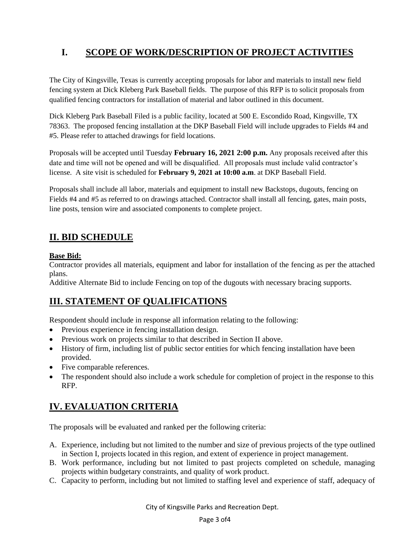## **I. SCOPE OF WORK/DESCRIPTION OF PROJECT ACTIVITIES**

The City of Kingsville, Texas is currently accepting proposals for labor and materials to install new field fencing system at Dick Kleberg Park Baseball fields. The purpose of this RFP is to solicit proposals from qualified fencing contractors for installation of material and labor outlined in this document.

Dick Kleberg Park Baseball Filed is a public facility, located at 500 E. Escondido Road, Kingsville, TX 78363. The proposed fencing installation at the DKP Baseball Field will include upgrades to Fields #4 and #5. Please refer to attached drawings for field locations.

Proposals will be accepted until Tuesday **February 16, 2021 2:00 p.m.** Any proposals received after this date and time will not be opened and will be disqualified. All proposals must include valid contractor's license. A site visit is scheduled for **February 9, 2021 at 10:00 a.m**. at DKP Baseball Field.

Proposals shall include all labor, materials and equipment to install new Backstops, dugouts, fencing on Fields #4 and #5 as referred to on drawings attached. Contractor shall install all fencing, gates, main posts, line posts, tension wire and associated components to complete project.

## **II. BID SCHEDULE**

#### **Base Bid:**

Contractor provides all materials, equipment and labor for installation of the fencing as per the attached plans.

Additive Alternate Bid to include Fencing on top of the dugouts with necessary bracing supports.

### **III. STATEMENT OF QUALIFICATIONS**

Respondent should include in response all information relating to the following:

- Previous experience in fencing installation design.
- Previous work on projects similar to that described in Section II above.
- History of firm, including list of public sector entities for which fencing installation have been provided.
- Five comparable references.
- The respondent should also include a work schedule for completion of project in the response to this RFP.

## **IV. EVALUATION CRITERIA**

The proposals will be evaluated and ranked per the following criteria:

- A. Experience, including but not limited to the number and size of previous projects of the type outlined in Section I, projects located in this region, and extent of experience in project management.
- B. Work performance, including but not limited to past projects completed on schedule, managing projects within budgetary constraints, and quality of work product.
- C. Capacity to perform, including but not limited to staffing level and experience of staff, adequacy of